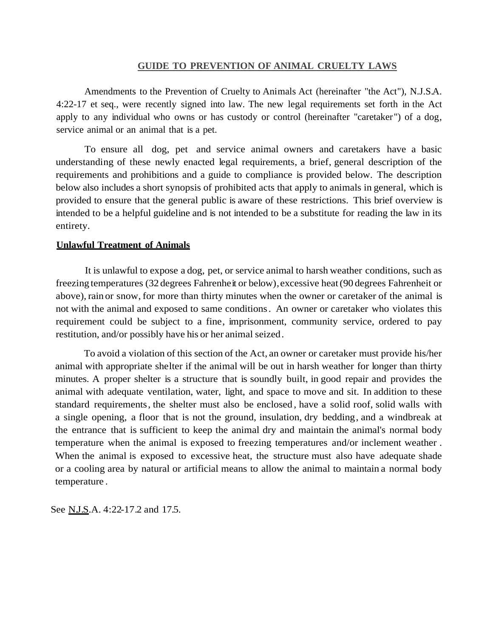#### **GUIDE TO PREVENTION OF ANIMAL CRUELTY LAWS**

Amendments to the Prevention of Cruelty to Animals Act (hereinafter "the Act"), N.J.S.A. 4:22-17 et seq., were recently signed into law. The new legal requirements set forth in the Act apply to any individual who owns or has custody or control (hereinafter "caretaker") of a dog, service animal or an animal that is a pet.

To ensure all dog, pet and service animal owners and caretakers have a basic understanding of these newly enacted legal requirements, a brief, general description of the requirements and prohibitions and a guide to compliance is provided below. The description below also includes a short synopsis of prohibited acts that apply to animals in general, which is provided to ensure that the general public is aware of these restrictions. This brief overview is intended to be a helpful guideline and is not intended to be a substitute for reading the law in its entirety.

#### **Unlawful Treatment of Animals**

It is unlawful to expose a dog, pet, or service animal to harsh weather conditions, such as freezing temperatures (32 degrees Fahrenheit or below),excessive heat(90 degrees Fahrenheit or above), rain or snow, for more than thirty minutes when the owner or caretaker of the animal is not with the animal and exposed to same conditions. An owner or caretaker who violates this requirement could be subject to a fine, imprisonment, community service, ordered to pay restitution, and/or possibly have his or her animal seized.

To avoid a violation of this section of the Act, an owner or caretaker must provide his/her animal with appropriate shelter if the animal will be out in harsh weather for longer than thirty minutes. A proper shelter is a structure that is soundly built, in good repair and provides the animal with adequate ventilation, water, light, and space to move and sit. In addition to these standard requirements, the shelter must also be enclosed , have a solid roof, solid walls with a single opening, a floor that is not the ground, insulation, dry bedding, and a windbreak at the entrance that is sufficient to keep the animal dry and maintain the animal's normal body temperature when the animal is exposed to freezing temperatures and/or inclement weather . When the animal is exposed to excessive heat, the structure must also have adequate shade or a cooling area by natural or artificial means to allow the animal to maintain a normal body temperature .

See N.J.S.A. 4:22-17.2 and 17.5.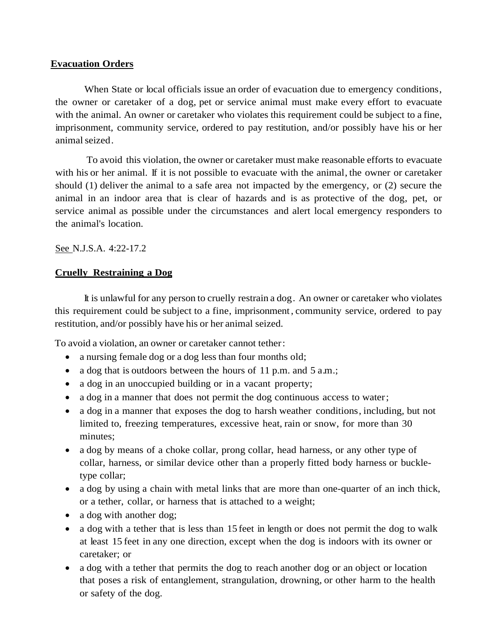## **Evacuation Orders**

When State or local officials issue an order of evacuation due to emergency conditions, the owner or caretaker of a dog, pet or service animal must make every effort to evacuate with the animal. An owner or caretaker who violates this requirement could be subject to a fine, imprisonment, community service, ordered to pay restitution, and/or possibly have his or her animalseized.

To avoid this violation, the owner or caretaker must make reasonable efforts to evacuate with his or her animal. If it is not possible to evacuate with the animal, the owner or caretaker should (1) deliver the animal to a safe area not impacted by the emergency, or (2) secure the animal in an indoor area that is clear of hazards and is as protective of the dog, pet, or service animal as possible under the circumstances and alert local emergency responders to the animal's location.

See N.J.S.A. 4:22-17.2

# **Cruelly Restraining a Dog**

It is unlawful for any person to cruelly restrain a dog. An owner or caretaker who violates this requirement could be subject to a fine, imprisonment, community service, ordered to pay restitution, and/or possibly have his or her animal seized.

To avoid a violation, an owner or caretaker cannot tether:

- a nursing female dog or a dog less than four months old;
- a dog that is outdoors between the hours of 11 p.m. and 5 a.m.;
- a dog in an unoccupied building or in a vacant property;
- a dog in a manner that does not permit the dog continuous access to water;
- a dog in a manner that exposes the dog to harsh weather conditions, including, but not limited to, freezing temperatures, excessive heat, rain or snow, for more than 30 minutes;
- a dog by means of a choke collar, prong collar, head harness, or any other type of collar, harness, or similar device other than a properly fitted body harness or buckletype collar;
- a dog by using a chain with metal links that are more than one-quarter of an inch thick, or a tether, collar, or harness that is attached to a weight;
- a dog with another dog;
- a dog with a tether that is less than 15 feet in length or does not permit the dog to walk at least 15 feet in any one direction, except when the dog is indoors with its owner or caretaker; or
- a dog with a tether that permits the dog to reach another dog or an object or location that poses a risk of entanglement, strangulation, drowning, or other harm to the health or safety of the dog.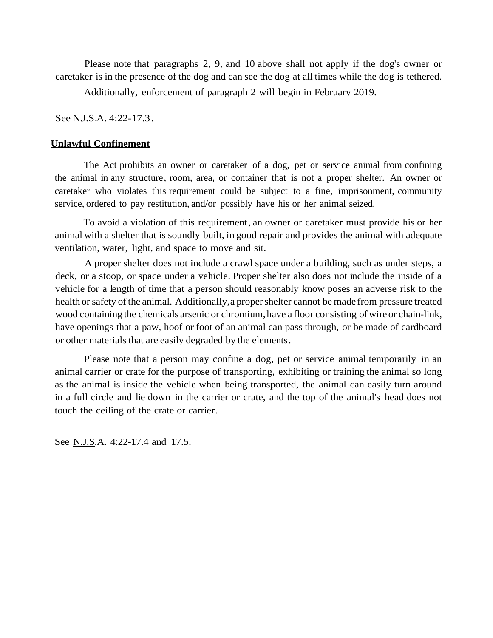Please note that paragraphs 2, 9, and 10 above shall not apply if the dog's owner or caretaker is in the presence of the dog and can see the dog at all times while the dog is tethered.

Additionally, enforcement of paragraph 2 will begin in February 2019.

See N.J.S.A. 4:22-17.3.

### **Unlawful Confinement**

The Act prohibits an owner or caretaker of a dog, pet or service animal from confining the animal in any structure, room, area, or container that is not a proper shelter. An owner or caretaker who violates this requirement could be subject to a fine, imprisonment, community service, ordered to pay restitution, and/or possibly have his or her animal seized.

To avoid a violation of this requirement, an owner or caretaker must provide his or her animal with a shelter that is soundly built, in good repair and provides the animal with adequate ventilation, water, light, and space to move and sit.

A proper shelter does not include a crawl space under a building, such as under steps, a deck, or a stoop, or space under a vehicle. Proper shelter also does not include the inside of a vehicle for a length of time that a person should reasonably know poses an adverse risk to the health or safety of the animal. Additionally, a proper shelter cannot be made from pressure treated wood containing the chemicals arsenic or chromium,have a floor consisting of wire or chain-link, have openings that a paw, hoof or foot of an animal can pass through, or be made of cardboard or other materials that are easily degraded by the elements.

Please note that a person may confine a dog, pet or service animal temporarily in an animal carrier or crate for the purpose of transporting, exhibiting or training the animal so long as the animal is inside the vehicle when being transported, the animal can easily turn around in a full circle and lie down in the carrier or crate, and the top of the animal's head does not touch the ceiling of the crate or carrier.

See <u>N.J.S</u>.A. 4:22-17.4 and 17.5.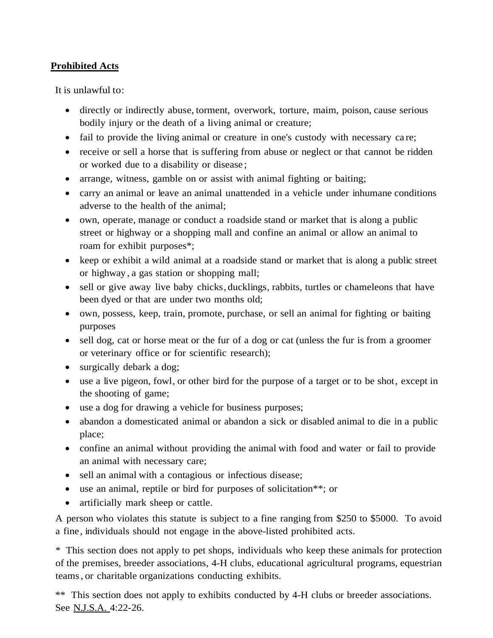# **Prohibited Acts**

It is unlawful to:

- directly or indirectly abuse, torment, overwork, torture, maim, poison, cause serious bodily injury or the death of a living animal or creature;
- fail to provide the living animal or creature in one's custody with necessary care;
- receive or sell a horse that is suffering from abuse or neglect or that cannot be ridden or worked due to a disability or disease ;
- arrange, witness, gamble on or assist with animal fighting or baiting;
- carry an animal or leave an animal unattended in a vehicle under inhumane conditions adverse to the health of the animal;
- own, operate, manage or conduct a roadside stand or market that is along a public street or highway or a shopping mall and confine an animal or allow an animal to roam for exhibit purposes\*;
- keep or exhibit a wild animal at a roadside stand or market that is along a public street or highway , a gas station or shopping mall;
- sell or give away live baby chicks, ducklings, rabbits, turtles or chameleons that have been dyed or that are under two months old;
- own, possess, keep, train, promote, purchase, or sell an animal for fighting or baiting purposes
- sell dog, cat or horse meat or the fur of a dog or cat (unless the fur is from a groomer or veterinary office or for scientific research);
- surgically debark a dog;
- use a live pigeon, fowl, or other bird for the purpose of a target or to be shot, except in the shooting of game;
- use a dog for drawing a vehicle for business purposes;
- abandon a domesticated animal or abandon a sick or disabled animal to die in a public place;
- confine an animal without providing the animal with food and water or fail to provide an animal with necessary care;
- sell an animal with a contagious or infectious disease;
- use an animal, reptile or bird for purposes of solicitation\*\*; or
- artificially mark sheep or cattle.

A person who violates this statute is subject to a fine ranging from \$250 to \$5000. To avoid a fine, individuals should not engage in the above-listed prohibited acts.

\* This section does not apply to pet shops, individuals who keep these animals for protection of the premises, breeder associations, 4-H clubs, educational agricultural programs, equestrian teams, or charitable organizations conducting exhibits.

\*\* This section does not apply to exhibits conducted by 4-H clubs or breeder associations. See N.J.S.A. 4:22-26.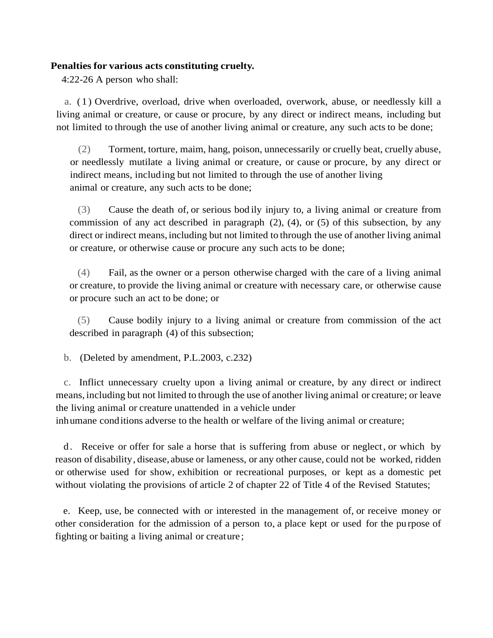## **Penalties for various acts constituting cruelty.**

4:22-26 A person who shall:

a. ( 1 ) Overdrive, overload, drive when overloaded, overwork, abuse, or needlessly kill a living animal or creature, or cause or procure, by any direct or indirect means, including but not limited to through the use of another living animal or creature, any such acts to be done;

(2) Torment, torture, maim, hang, poison, unnecessarily or cruelly beat, cruelly abuse, or needlessly mutilate a living animal or creature, or cause or procure, by any direct or indirect means, including but not limited to through the use of another living animal or creature, any such acts to be done;

(3) Cause the death of, or serious bod ily injury to, a living animal or creature from commission of any act described in paragraph  $(2)$ ,  $(4)$ , or  $(5)$  of this subsection, by any direct or indirect means, including but not limited to through the use of another living animal or creature, or otherwise cause or procure any such acts to be done;

(4) Fail, as the owner or a person otherwise charged with the care of a living animal or creature, to provide the living animal or creature with necessary care, or otherwise cause or procure such an act to be done; or

(5) Cause bodily injury to a living animal or creature from commission of the act described in paragraph (4) of this subsection;

b. (Deleted by amendment, P.L.2003, c.232)

c. Inflict unnecessary cruelty upon a living animal or creature, by any direct or indirect means, including but not limited to through the use of another living animal or creature; or leave the living animal or creature unattended in a vehicle under

inhumane conditions adverse to the health or welfare of the living animal or creature;

d. Receive or offer for sale a horse that is suffering from abuse or neglect, or which by reason of disability, disease, abuse or lameness, or any other cause, could not be worked, ridden or otherwise used for show, exhibition or recreational purposes, or kept as a domestic pet without violating the provisions of article 2 of chapter 22 of Title 4 of the Revised Statutes;

e. Keep, use, be connected with or interested in the management of, or receive money or other consideration for the admission of a person to, a place kept or used for the pu rpose of fighting or baiting a living animal or creature ;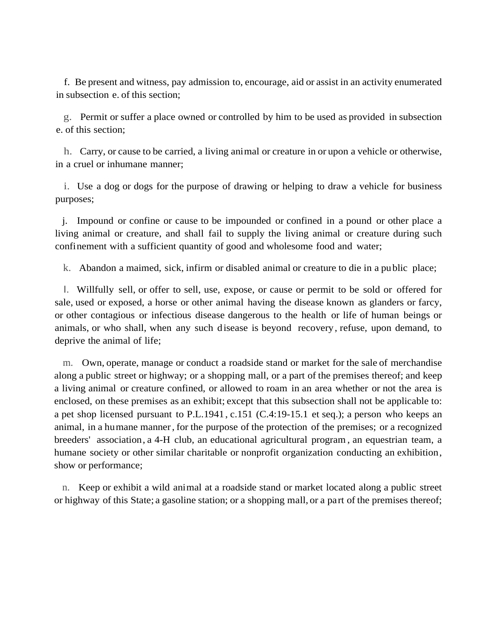f. Be present and witness, pay admission to, encourage, aid or assist in an activity enumerated in subsection e. of this section;

g. Permit or suffer a place owned or controlled by him to be used as provided in subsection e. of this section;

h. Carry, or cause to be carried, a living animal or creature in or upon a vehicle or otherwise, in a cruel or inhumane manner;

i. Use a dog or dogs for the purpose of drawing or helping to draw a vehicle for business purposes;

j. Impound or confine or cause to be impounded or confined in a pound or other place a living animal or creature, and shall fail to supply the living animal or creature during such confinement with a sufficient quantity of good and wholesome food and water;

k. Abandon a maimed, sick, infirm or disabled animal or creature to die in a public place;

I. Willfully sell, or offer to sell, use, expose, or cause or permit to be sold or offered for sale, used or exposed, a horse or other animal having the disease known as glanders or farcy, or other contagious or infectious disease dangerous to the health or life of human beings or animals, or who shall, when any such disease is beyond recovery, refuse, upon demand, to deprive the animal of life;

m. Own, operate, manage or conduct a roadside stand or market for the sale of merchandise along a public street or highway; or a shopping mall, or a part of the premises thereof; and keep a living animal or creature confined, or allowed to roam in an area whether or not the area is enclosed, on these premises as an exhibit; except that this subsection shall not be applicable to: a pet shop licensed pursuant to P.L.1941, c.151 (C.4:19-15.1 et seq.); a person who keeps an animal, in a humane manner, for the purpose of the protection of the premises; or a recognized breeders' association, a 4-H club, an educational agricultural program , an equestrian team, a humane society or other similar charitable or nonprofit organization conducting an exhibition, show or performance;

n. Keep or exhibit a wild animal at a roadside stand or market located along a public street or highway of this State; a gasoline station; or a shopping mall, or a part of the premises thereof;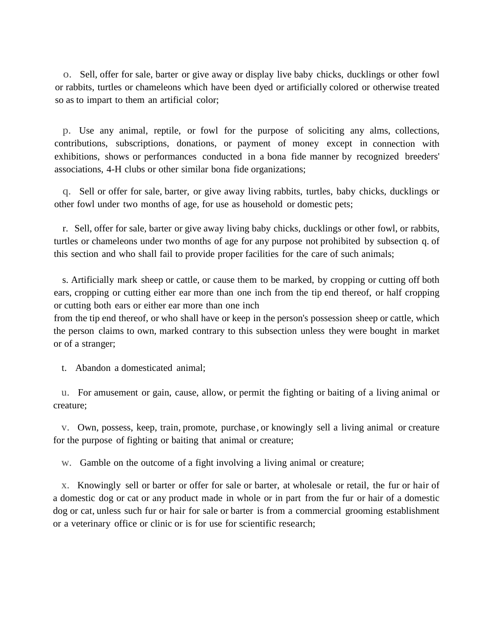o. Sell, offer for sale, barter or give away or display live baby chicks, ducklings or other fowl or rabbits, turtles or chameleons which have been dyed or artificially colored or otherwise treated so as to impart to them an artificial color;

p. Use any animal, reptile, or fowl for the purpose of soliciting any alms, collections, contributions, subscriptions, donations, or payment of money except in connection with exhibitions, shows or performances conducted in a bona fide manner by recognized breeders' associations, 4-H clubs or other similar bona fide organizations;

q. Sell or offer for sale, barter, or give away living rabbits, turtles, baby chicks, ducklings or other fowl under two months of age, for use as household or domestic pets;

r. Sell, offer for sale, barter or give away living baby chicks, ducklings or other fowl, or rabbits, turtles or chameleons under two months of age for any purpose not prohibited by subsection q. of this section and who shall fail to provide proper facilities for the care of such animals;

s. Artificially mark sheep or cattle, or cause them to be marked, by cropping or cutting off both ears, cropping or cutting either ear more than one inch from the tip end thereof, or half cropping or cutting both ears or either ear more than one inch

from the tip end thereof, or who shall have or keep in the person's possession sheep or cattle, which the person claims to own, marked contrary to this subsection unless they were bought in market or of a stranger;

t. Abandon a domesticated animal;

u. For amusement or gain, cause, allow, or permit the fighting or baiting of a living animal or creature;

v. Own, possess, keep, train, promote, purchase , or knowingly sell a living animal or creature for the purpose of fighting or baiting that animal or creature;

w. Gamble on the outcome of a fight involving a living animal or creature;

x. Knowingly sell or barter or offer for sale or barter, at wholesale or retail, the fur or hair of a domestic dog or cat or any product made in whole or in part from the fur or hair of a domestic dog or cat, unless such fur or hair for sale or barter is from a commercial grooming establishment or a veterinary office or clinic or is for use for scientific research;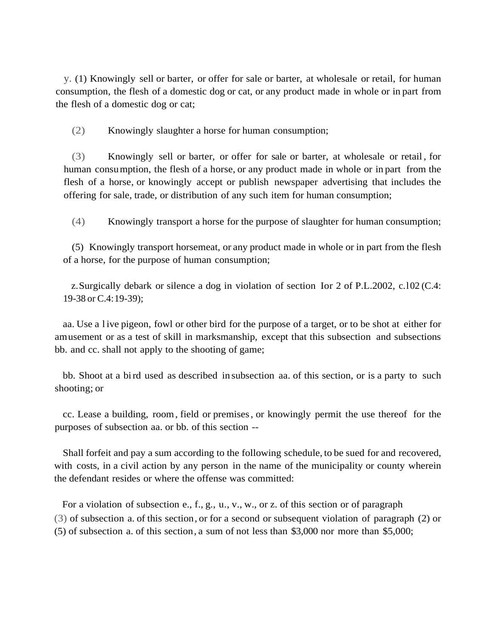y. (1) Knowingly sell or barter, or offer for sale or barter, at wholesale or retail, for human consumption, the flesh of a domestic dog or cat, or any product made in whole or in part from the flesh of a domestic dog or cat;

(2) Knowingly slaughter a horse for human consumption;

(3) Knowingly sell or barter, or offer for sale or barter, at wholesale or retail , for human consumption, the flesh of a horse, or any product made in whole or in part from the flesh of a horse, or knowingly accept or publish newspaper advertising that includes the offering for sale, trade, or distribution of any such item for human consumption;

(4) Knowingly transport a horse for the purpose of slaughter for human consumption;

(5) Knowingly transport horsemeat, or any product made in whole or in part from the flesh of a horse, for the purpose of human consumption;

z.Surgically debark or silence a dog in violation of section Ior 2 of P.L.2002, c.l02 (C.4: 19-38 or C.4:19-39);

aa. Use a l ive pigeon, fowl or other bird for the purpose of a target, or to be shot at either for amusement or as a test of skill in marksmanship, except that this subsection and subsections bb. and cc. shall not apply to the shooting of game;

bb. Shoot at a bird used as described in subsection aa. of this section, or is a party to such shooting; or

cc. Lease a building, room, field or premises, or knowingly permit the use thereof for the purposes of subsection aa. or bb. of this section --

Shall forfeit and pay a sum according to the following schedule, to be sued for and recovered, with costs, in a civil action by any person in the name of the municipality or county wherein the defendant resides or where the offense was committed:

For a violation of subsection e., f., g., u., v., w., or z. of this section or of paragraph (3) of subsection a. of this section, or for a second or subsequent violation of paragraph (2) or (5) of subsection a. of this section, a sum of not less than \$3,000 nor more than \$5,000;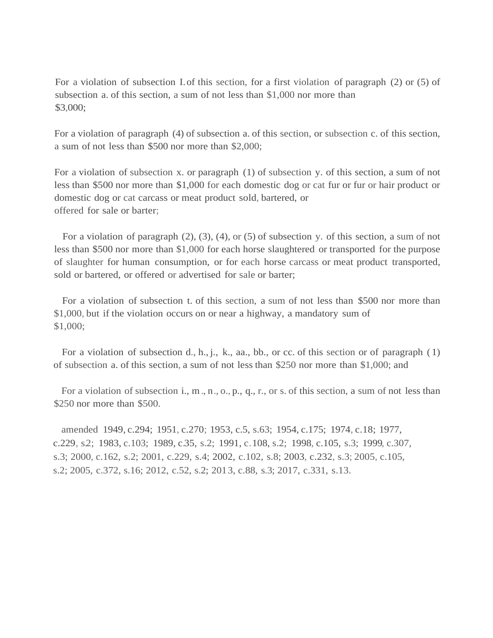For a violation of subsection I of this section, for a first violation of paragraph (2) or (5) of subsection a. of this section, a sum of not less than \$1,000 nor more than \$3,000;

For a violation of paragraph (4) of subsection a. of this section, or subsection c. of this section, a sum of not less than \$500 nor more than \$2,000;

For a violation of subsection x. or paragraph (1) of subsection y. of this section, a sum of not less than \$500 nor more than \$1,000 for each domestic dog or cat fur or fur or hair product or domestic dog or cat carcass or meat product sold, bartered, or offered for sale or barter;

For a violation of paragraph (2), (3), (4), or (5) of subsection y. of this section, a sum of not less than \$500 nor more than \$1,000 for each horse slaughtered or transported for the purpose of slaughter for human consumption, or for each horse carcass or meat product transported, sold or bartered, or offered or advertised for sale or barter;

For a violation of subsection t. of this section, a sum of not less than \$500 nor more than \$1,000, but if the violation occurs on or near a highway, a mandatory sum of \$1,000;

For a violation of subsection d., h., j., k., aa., bb., or cc. of this section or of paragraph (1) of subsection a. of this section, a sum of not less than \$250 nor more than \$1,000; and

For a violation of subsection i., m., n., o., p., q., r., or s. of this section, a sum of not less than \$250 nor more than \$500.

amended 1949, c.294; 1951, c.270; 1953, c.5, s.63; 1954, c.175; 1974, c.18; 1977, c.229, s.2; 1983, c.103; 1989, c.35, s.2; 1991, c.108, s.2; 1998, c.105, s.3; 1999, c.307, s.3; 2000, c.162, s.2; 2001, c.229, s.4; 2002, c.102, s.8; 2003, c.232, s.3; 2005, c.105, s.2; 2005, c.372, s.16; 2012, c.52, s.2; 2013, c.88, s.3; 2017, c.331, s.13.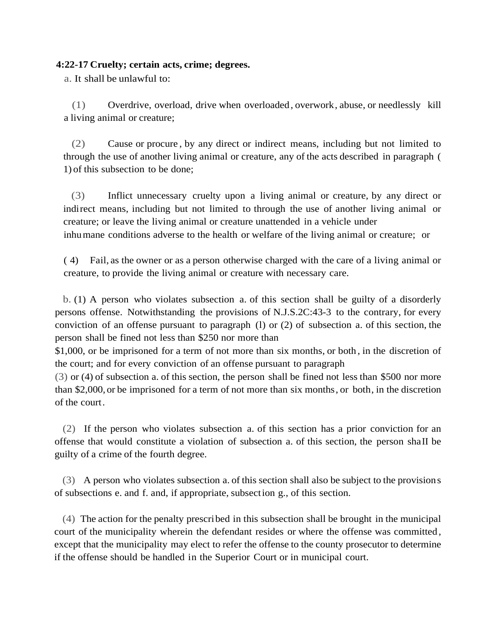## **4:22-17 Cruelty; certain acts, crime; degrees.**

a. It shall be unlawful to:

(1) Overdrive, overload, drive when overloaded, overwork, abuse, or needlessly kill a living animal or creature;

(2) Cause or procure , by any direct or indirect means, including but not limited to through the use of another living animal or creature, any of the acts described in paragraph ( 1) of this subsection to be done;

(3) Inflict unnecessary cruelty upon a living animal or creature, by any direct or indirect means, including but not limited to through the use of another living animal or creature; or leave the living animal or creature unattended in a vehicle under inhumane conditions adverse to the health or welfare of the living animal or creature; or

( 4) Fail, as the owner or as a person otherwise charged with the care of a living animal or

creature, to provide the living animal or creature with necessary care.

b. (1) A person who violates subsection a. of this section shall be guilty of a disorderly persons offense. Notwithstanding the provisions of N.J.S.2C:43-3 to the contrary, for every conviction of an offense pursuant to paragraph (l) or (2) of subsection a. of this section, the person shall be fined not less than \$250 nor more than

\$1,000, or be imprisoned for a term of not more than six months, or both , in the discretion of the court; and for every conviction of an offense pursuant to paragraph

(3) or (4) of subsection a. of this section, the person shall be fined not less than \$500 nor more than \$2,000, or be imprisoned for a term of not more than six months, or both, in the discretion of the court.

(2) If the person who violates subsection a. of this section has a prior conviction for an offense that would constitute a violation of subsection a. of this section, the person shaII be guilty of a crime of the fourth degree.

(3) A person who violates subsection a. of this section shall also be subject to the provisions of subsections e. and f. and, if appropriate, subsection g., of this section.

(4) The action for the penalty prescribed in this subsection shall be brought in the municipal court of the municipality wherein the defendant resides or where the offense was committed , except that the municipality may elect to refer the offense to the county prosecutor to determine if the offense should be handled in the Superior Court or in municipal court.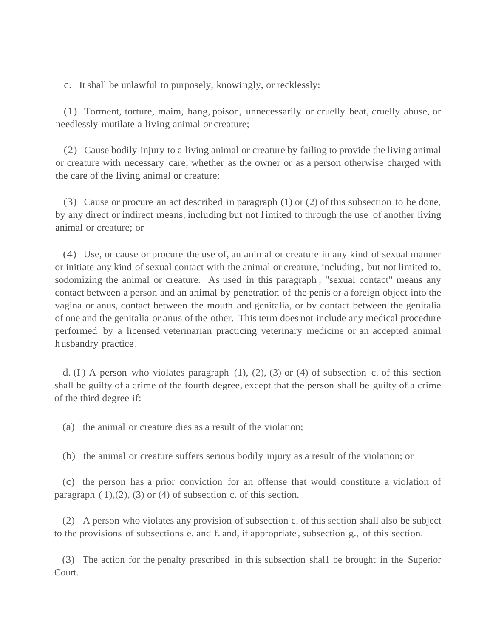c. Itshall be unlawful to purposely, knowingly, or recklessly:

(1) Torment, torture, maim, hang, poison, unnecessarily or cruelly beat, cruelly abuse, or needlessly mutilate a living animal or creature;

(2) Cause bodily injury to a living animal or creature by failing to provide the living animal or creature with necessary care, whether as the owner or as a person otherwise charged with the care of the living animal or creature;

(3) Cause or procure an act described in paragraph (1) or (2) of this subsection to be done, by any direct or indirect means, including but not l imited to through the use of another living animal or creature; or

(4) Use, or cause or procure the use of, an animal or creature in any kind of sexual manner or initiate any kind of sexual contact with the animal or creature, including, but not limited to, sodomizing the animal or creature. As used in this paragraph , "sexual contact" means any contact between a person and an animal by penetration of the penis or a foreign object into the vagina or anus, contact between the mouth and genitalia, or by contact between the genitalia of one and the genitalia or anus of the other. This term does not include any medical procedure performed by a licensed veterinarian practicing veterinary medicine or an accepted animal husbandry practice.

d. (I) A person who violates paragraph  $(1)$ ,  $(2)$ ,  $(3)$  or  $(4)$  of subsection c. of this section shall be guilty of a crime of the fourth degree, except that the person shall be guilty of a crime of the third degree if:

(a) the animal or creature dies as a result of the violation;

(b) the animal or creature suffers serious bodily injury as a result of the violation; or

(c) the person has a prior conviction for an offense that would constitute a violation of paragraph  $(1)$ , $(2)$ ,  $(3)$  or  $(4)$  of subsection c. of this section.

(2) A person who violates any provision of subsection c. of this section shall also be subject to the provisions of subsections e. and f. and, if appropriate , subsection g., of this section.

(3) The action for the penalty prescribed in th is subsection shall be brought in the Superior Court.